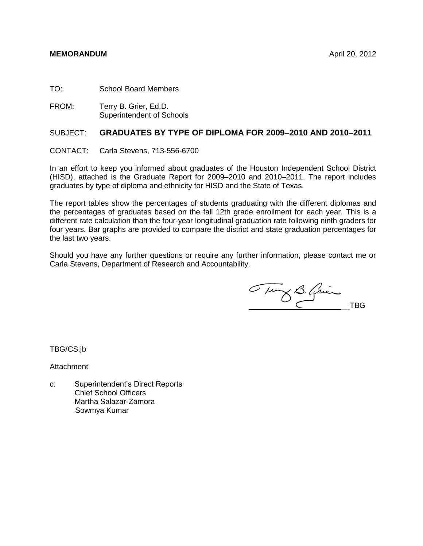## **MEMORANDUM** April 20, 2012

TO: School Board Members

FROM: Terry B. Grier, Ed.D. Superintendent of Schools

#### SUBJECT: **GRADUATES BY TYPE OF DIPLOMA FOR 2009–2010 AND 2010–2011**

CONTACT: Carla Stevens, 713-556-6700

In an effort to keep you informed about graduates of the Houston Independent School District (HISD), attached is the Graduate Report for 2009–2010 and 2010–2011. The report includes graduates by type of diploma and ethnicity for HISD and the State of Texas.

The report tables show the percentages of students graduating with the different diplomas and the percentages of graduates based on the fall 12th grade enrollment for each year. This is a different rate calculation than the four-year longitudinal graduation rate following ninth graders for four years. Bar graphs are provided to compare the district and state graduation percentages for the last two years.

Should you have any further questions or require any further information, please contact me or Carla Stevens, Department of Research and Accountability.

Tury B. Quien

TBG/CS:jb

Attachment

c: Superintendent's Direct Reports Chief School Officers Martha Salazar-Zamora Sowmya Kumar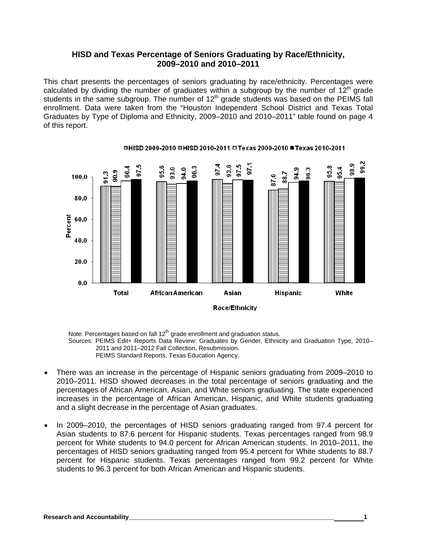## **HISD and Texas Percentage of Seniors Graduating by Race/Ethnicity, 2009–2010 and 2010–2011**

This chart presents the percentages of seniors graduating by race/ethnicity. Percentages were calculated by dividing the number of graduates within a subgroup by the number of  $12<sup>th</sup>$  grade students in the same subgroup. The number of  $12<sup>th</sup>$  grade students was based on the PEIMS fall enrollment. Data were taken from the "Houston Independent School District and Texas Total Graduates by Type of Diploma and Ethnicity, 2009–2010 and 2010–2011" table found on page 4 of this report.



#### **□HISD 2009-2010 □HISD 2010-2011 □Texas 2009-2010 ■Texas 2010-2011**

Note: Percentages based on fall 12<sup>th</sup> grade enrollment and graduation status. Sources: PEIMS Edit+ Reports Data Review: Graduates by Gender, Ethnicity and Graduation Type, 2010– 2011 and 2011–2012 Fall Collection, Resubmission. PEIMS Standard Reports, Texas Education Agency.

- There was an increase in the percentage of Hispanic seniors graduating from 2009–2010 to 2010–2011. HISD showed decreases in the total percentage of seniors graduating and the percentages of African American, Asian, and White seniors graduating. The state experienced increases in the percentage of African American, Hispanic, and White students graduating and a slight decrease in the percentage of Asian graduates.
- In 2009–2010, the percentages of HISD seniors graduating ranged from 97.4 percent for Asian students to 87.6 percent for Hispanic students. Texas percentages ranged from 98.9 percent for White students to 94.0 percent for African American students. In 2010–2011, the percentages of HISD seniors graduating ranged from 95.4 percent for White students to 88.7 percent for Hispanic students. Texas percentages ranged from 99.2 percent for White students to 96.3 percent for both African American and Hispanic students.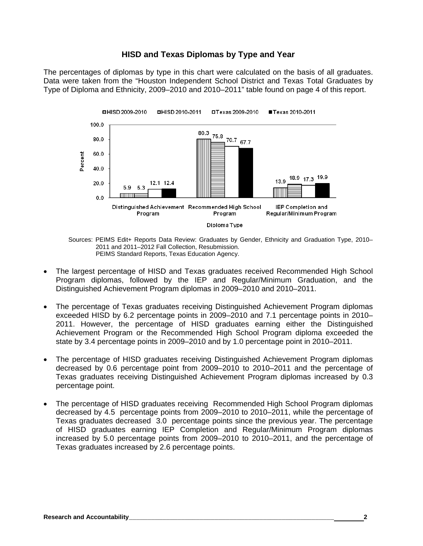## **HISD and Texas Diplomas by Type and Year**

The percentages of diplomas by type in this chart were calculated on the basis of all graduates. Data were taken from the "Houston Independent School District and Texas Total Graduates by Type of Diploma and Ethnicity, 2009–2010 and 2010–2011" table found on page 4 of this report.



Sources: PEIMS Edit+ Reports Data Review: Graduates by Gender, Ethnicity and Graduation Type, 2010– 2011 and 2011–2012 Fall Collection, Resubmission. PEIMS Standard Reports, Texas Education Agency.

- The largest percentage of HISD and Texas graduates received Recommended High School Program diplomas, followed by the IEP and Regular/Minimum Graduation, and the Distinguished Achievement Program diplomas in 2009–2010 and 2010–2011.
- The percentage of Texas graduates receiving Distinguished Achievement Program diplomas exceeded HISD by 6.2 percentage points in 2009–2010 and 7.1 percentage points in 2010– 2011. However, the percentage of HISD graduates earning either the Distinguished Achievement Program or the Recommended High School Program diploma exceeded the state by 3.4 percentage points in 2009–2010 and by 1.0 percentage point in 2010–2011.
- The percentage of HISD graduates receiving Distinguished Achievement Program diplomas decreased by 0.6 percentage point from 2009–2010 to 2010–2011 and the percentage of Texas graduates receiving Distinguished Achievement Program diplomas increased by 0.3 percentage point.
- The percentage of HISD graduates receiving Recommended High School Program diplomas decreased by 4.5 percentage points from 2009–2010 to 2010–2011, while the percentage of Texas graduates decreased 3.0 percentage points since the previous year. The percentage of HISD graduates earning IEP Completion and Regular/Minimum Program diplomas increased by 5.0 percentage points from 2009–2010 to 2010–2011, and the percentage of Texas graduates increased by 2.6 percentage points.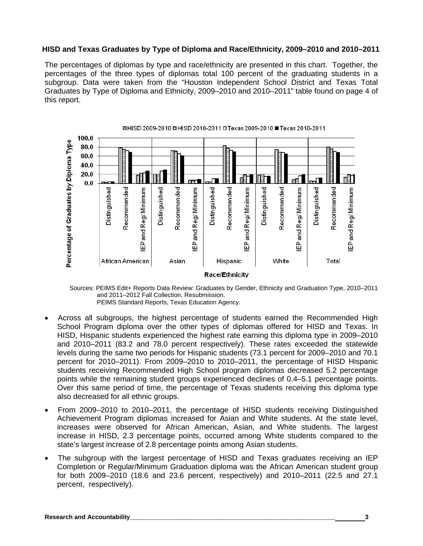### **HISD and Texas Graduates by Type of Diploma and Race/Ethnicity, 2009–2010 and 2010–2011**

The percentages of diplomas by type and race/ethnicity are presented in this chart. Together, the percentages of the three types of diplomas total 100 percent of the graduating students in a subgroup. Data were taken from the "Houston Independent School District and Texas Total Graduates by Type of Diploma and Ethnicity, 2009–2010 and 2010–2011" table found on page 4 of this report.



Sources: PEIMS Edit+ Reports Data Review: Graduates by Gender, Ethnicity and Graduation Type, 2010–2011 and 2011–2012 Fall Collection, Resubmission. PEIMS Standard Reports, Texas Education Agency.

- Across all subgroups, the highest percentage of students earned the Recommended High School Program diploma over the other types of diplomas offered for HISD and Texas. In HISD, Hispanic students experienced the highest rate earning this diploma type in 2009–2010 and 2010–2011 (83.2 and 78.0 percent respectively). These rates exceeded the statewide levels during the same two periods for Hispanic students (73.1 percent for 2009–2010 and 70.1 percent for 2010–2011). From 2009–2010 to 2010–2011, the percentage of HISD Hispanic students receiving Recommended High School program diplomas decreased 5.2 percentage points while the remaining student groups experienced declines of 0.4–5.1 percentage points. Over this same period of time, the percentage of Texas students receiving this diploma type also decreased for all ethnic groups.
- From 2009–2010 to 2010–2011, the percentage of HISD students receiving Distinguished Achievement Program diplomas increased for Asian and White students. At the state level, increases were observed for African American, Asian, and White students. The largest increase in HISD, 2.3 percentage points, occurred among White students compared to the state's largest increase of 2.8 percentage points among Asian students.
- The subgroup with the largest percentage of HISD and Texas graduates receiving an IEP Completion or Regular/Minimum Graduation diploma was the African American student group for both 2009–2010 (18.6 and 23.6 percent, respectively) and 2010–2011 (22.5 and 27.1 percent, respectively).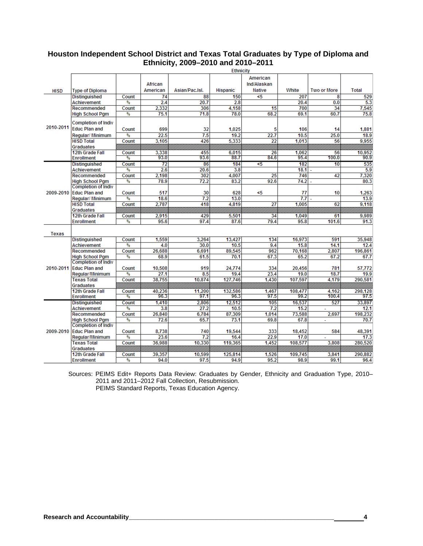## **Houston Independent School District and Texas Total Graduates by Type of Diploma and Ethnicity, 2009–2010 and 2010–2011**

| American<br>African<br>Ind/Alaskan<br>White<br><b>Total</b><br>American<br>Asian/Pac.Isl.<br><b>Hispanic</b><br><b>Native</b><br><b>Two or More</b><br><b>HISD</b><br><b>Type of Diploma</b><br>88<br>150<br><5<br>207<br><b>Distinguished</b><br>Count<br>74<br>8<br>2.4<br>20.7<br>2.8<br>20.4<br>%<br>0.0<br><b>Achievement</b><br>2,332<br>306<br>4.158<br>700<br>34<br>Recommended<br>Count<br>15<br>71.8<br>68.2<br>69.1<br>60.7<br>%<br>75.1<br>78.0<br><b>High School Pam</b><br><b>Completion of Indiv</b><br>2010-2011<br><b>Educ Plan and</b><br>32<br>699<br>1.025<br>5<br>Count<br>106<br>14<br>7.5<br>%<br>22.5<br>19.2<br>22.7<br>10.5<br>25.0<br>Regular/ Minimum<br><b>HISD Total</b><br>3.105<br>426<br>5.333<br>1.013<br>56<br>Count<br>22<br>Graduates<br>3,338<br>10,952<br>12th Grade Fall<br>455<br>6,015<br>26<br>1,062<br>56<br>Count<br>93.0<br>93.6<br>88.7<br>84.6<br>95.4<br>100.0<br>%<br><b>Enrollment</b><br>72<br>86<br>184<br>5<<br>182<br>10<br><b>Distinguished</b><br>Count<br>%<br>2.6<br>20.6<br>3.8<br>18.1<br><b>Achievement</b><br>2.198<br>302<br>4,007<br>25<br>746<br>Recommended<br>Count<br>42 |           |                        | <b>Ethnicity</b> |      |      |      |      |      |  |         |  |
|-----------------------------------------------------------------------------------------------------------------------------------------------------------------------------------------------------------------------------------------------------------------------------------------------------------------------------------------------------------------------------------------------------------------------------------------------------------------------------------------------------------------------------------------------------------------------------------------------------------------------------------------------------------------------------------------------------------------------------------------------------------------------------------------------------------------------------------------------------------------------------------------------------------------------------------------------------------------------------------------------------------------------------------------------------------------------------------------------------------------------------------------------|-----------|------------------------|------------------|------|------|------|------|------|--|---------|--|
|                                                                                                                                                                                                                                                                                                                                                                                                                                                                                                                                                                                                                                                                                                                                                                                                                                                                                                                                                                                                                                                                                                                                               |           |                        |                  |      |      |      |      |      |  |         |  |
|                                                                                                                                                                                                                                                                                                                                                                                                                                                                                                                                                                                                                                                                                                                                                                                                                                                                                                                                                                                                                                                                                                                                               |           |                        |                  |      |      |      |      |      |  |         |  |
|                                                                                                                                                                                                                                                                                                                                                                                                                                                                                                                                                                                                                                                                                                                                                                                                                                                                                                                                                                                                                                                                                                                                               |           |                        |                  |      |      |      |      |      |  |         |  |
|                                                                                                                                                                                                                                                                                                                                                                                                                                                                                                                                                                                                                                                                                                                                                                                                                                                                                                                                                                                                                                                                                                                                               |           |                        |                  |      |      |      |      |      |  | 529     |  |
|                                                                                                                                                                                                                                                                                                                                                                                                                                                                                                                                                                                                                                                                                                                                                                                                                                                                                                                                                                                                                                                                                                                                               |           |                        |                  |      |      |      |      |      |  | 5.3     |  |
|                                                                                                                                                                                                                                                                                                                                                                                                                                                                                                                                                                                                                                                                                                                                                                                                                                                                                                                                                                                                                                                                                                                                               |           |                        |                  |      |      |      |      |      |  | 7,545   |  |
|                                                                                                                                                                                                                                                                                                                                                                                                                                                                                                                                                                                                                                                                                                                                                                                                                                                                                                                                                                                                                                                                                                                                               |           |                        |                  |      |      |      |      |      |  | 75.8    |  |
|                                                                                                                                                                                                                                                                                                                                                                                                                                                                                                                                                                                                                                                                                                                                                                                                                                                                                                                                                                                                                                                                                                                                               |           |                        |                  |      |      |      |      |      |  |         |  |
|                                                                                                                                                                                                                                                                                                                                                                                                                                                                                                                                                                                                                                                                                                                                                                                                                                                                                                                                                                                                                                                                                                                                               |           |                        |                  |      |      |      |      |      |  |         |  |
|                                                                                                                                                                                                                                                                                                                                                                                                                                                                                                                                                                                                                                                                                                                                                                                                                                                                                                                                                                                                                                                                                                                                               |           |                        |                  |      |      |      |      |      |  | 1,881   |  |
|                                                                                                                                                                                                                                                                                                                                                                                                                                                                                                                                                                                                                                                                                                                                                                                                                                                                                                                                                                                                                                                                                                                                               |           |                        |                  |      |      |      |      |      |  | 18.9    |  |
|                                                                                                                                                                                                                                                                                                                                                                                                                                                                                                                                                                                                                                                                                                                                                                                                                                                                                                                                                                                                                                                                                                                                               |           |                        |                  |      |      |      |      |      |  | 9,955   |  |
|                                                                                                                                                                                                                                                                                                                                                                                                                                                                                                                                                                                                                                                                                                                                                                                                                                                                                                                                                                                                                                                                                                                                               |           |                        |                  |      |      |      |      |      |  |         |  |
|                                                                                                                                                                                                                                                                                                                                                                                                                                                                                                                                                                                                                                                                                                                                                                                                                                                                                                                                                                                                                                                                                                                                               |           |                        |                  |      |      |      |      |      |  |         |  |
|                                                                                                                                                                                                                                                                                                                                                                                                                                                                                                                                                                                                                                                                                                                                                                                                                                                                                                                                                                                                                                                                                                                                               |           |                        |                  |      |      |      |      |      |  | 90.9    |  |
|                                                                                                                                                                                                                                                                                                                                                                                                                                                                                                                                                                                                                                                                                                                                                                                                                                                                                                                                                                                                                                                                                                                                               |           |                        |                  |      |      |      |      |      |  | 535     |  |
|                                                                                                                                                                                                                                                                                                                                                                                                                                                                                                                                                                                                                                                                                                                                                                                                                                                                                                                                                                                                                                                                                                                                               |           |                        |                  |      |      |      |      |      |  | 5.9     |  |
|                                                                                                                                                                                                                                                                                                                                                                                                                                                                                                                                                                                                                                                                                                                                                                                                                                                                                                                                                                                                                                                                                                                                               |           |                        |                  |      |      |      |      |      |  | 7,320   |  |
|                                                                                                                                                                                                                                                                                                                                                                                                                                                                                                                                                                                                                                                                                                                                                                                                                                                                                                                                                                                                                                                                                                                                               |           | <b>High School Pgm</b> | %                | 78.9 | 72.2 | 83.2 | 92.6 | 74.2 |  | 80.3    |  |
| <b>Completion of Indiv</b>                                                                                                                                                                                                                                                                                                                                                                                                                                                                                                                                                                                                                                                                                                                                                                                                                                                                                                                                                                                                                                                                                                                    |           |                        |                  |      |      |      |      |      |  |         |  |
| 30<br><5<br><b>Educ Plan and</b><br>Count<br>517<br>628<br>77<br>10                                                                                                                                                                                                                                                                                                                                                                                                                                                                                                                                                                                                                                                                                                                                                                                                                                                                                                                                                                                                                                                                           | 2009-2010 |                        |                  |      |      |      |      |      |  | 1.263   |  |
| %<br>18.6<br>7.2<br>13.0<br>7.7<br>Regular/ Minimum                                                                                                                                                                                                                                                                                                                                                                                                                                                                                                                                                                                                                                                                                                                                                                                                                                                                                                                                                                                                                                                                                           |           |                        |                  |      |      |      |      |      |  | 13.9    |  |
| <b>HISD Total</b><br>2.787<br>418<br>4.819<br>27<br>1.005<br>62<br>Count                                                                                                                                                                                                                                                                                                                                                                                                                                                                                                                                                                                                                                                                                                                                                                                                                                                                                                                                                                                                                                                                      |           |                        |                  |      |      |      |      |      |  | 9,118   |  |
| <b>Graduates</b>                                                                                                                                                                                                                                                                                                                                                                                                                                                                                                                                                                                                                                                                                                                                                                                                                                                                                                                                                                                                                                                                                                                              |           |                        |                  |      |      |      |      |      |  |         |  |
| 12th Grade Fall<br>2,915<br>429<br>5,501<br>34<br>1,049<br>61<br>Count                                                                                                                                                                                                                                                                                                                                                                                                                                                                                                                                                                                                                                                                                                                                                                                                                                                                                                                                                                                                                                                                        |           |                        |                  |      |      |      |      |      |  | 9,989   |  |
| 95.6<br>97.4<br>87.6<br>79.4<br>95.8<br>101.6<br><b>Enrollment</b><br>%                                                                                                                                                                                                                                                                                                                                                                                                                                                                                                                                                                                                                                                                                                                                                                                                                                                                                                                                                                                                                                                                       |           |                        |                  |      |      |      |      |      |  | 91.3    |  |
| <b>Texas</b>                                                                                                                                                                                                                                                                                                                                                                                                                                                                                                                                                                                                                                                                                                                                                                                                                                                                                                                                                                                                                                                                                                                                  |           |                        |                  |      |      |      |      |      |  |         |  |
| <b>Distinguished</b><br>1,559<br>3,264<br>13,427<br>134<br>16,973<br>591<br>Count                                                                                                                                                                                                                                                                                                                                                                                                                                                                                                                                                                                                                                                                                                                                                                                                                                                                                                                                                                                                                                                             |           |                        |                  |      |      |      |      |      |  | 35,948  |  |
| 15.8<br>%<br>4.0<br>30.0<br>10.5<br>9.4<br>14.1<br><b>Achievement</b>                                                                                                                                                                                                                                                                                                                                                                                                                                                                                                                                                                                                                                                                                                                                                                                                                                                                                                                                                                                                                                                                         |           |                        |                  |      |      |      |      |      |  | 12.4    |  |
| Recommended<br>26,688<br>6.691<br>89,545<br>962<br>70,168<br>2,807<br>Count                                                                                                                                                                                                                                                                                                                                                                                                                                                                                                                                                                                                                                                                                                                                                                                                                                                                                                                                                                                                                                                                   |           |                        |                  |      |      |      |      |      |  | 196,861 |  |
| %<br>67.3<br>65.2<br><b>High School Pgm</b><br>68.9<br>61.5<br>70.1<br>67.2                                                                                                                                                                                                                                                                                                                                                                                                                                                                                                                                                                                                                                                                                                                                                                                                                                                                                                                                                                                                                                                                   |           |                        |                  |      |      |      |      |      |  | 67.7    |  |
| <b>Completion of Indiv</b>                                                                                                                                                                                                                                                                                                                                                                                                                                                                                                                                                                                                                                                                                                                                                                                                                                                                                                                                                                                                                                                                                                                    |           |                        |                  |      |      |      |      |      |  |         |  |
| <b>Educ Plan and</b><br>2010-2011<br>Count<br>10,508<br>919<br>24,774<br>334<br>20,456<br>781                                                                                                                                                                                                                                                                                                                                                                                                                                                                                                                                                                                                                                                                                                                                                                                                                                                                                                                                                                                                                                                 |           |                        |                  |      |      |      |      |      |  | 57,772  |  |
| %<br>27.1<br>8.5<br>19.4<br>23.4<br>19.0<br>18.7<br>Regular/Minimum                                                                                                                                                                                                                                                                                                                                                                                                                                                                                                                                                                                                                                                                                                                                                                                                                                                                                                                                                                                                                                                                           |           |                        |                  |      |      |      |      |      |  | 19.9    |  |
| 107.597<br>38,755<br>10.874<br>127.746<br>1.430<br>4.179<br><b>Texas Total</b><br>Count                                                                                                                                                                                                                                                                                                                                                                                                                                                                                                                                                                                                                                                                                                                                                                                                                                                                                                                                                                                                                                                       |           |                        |                  |      |      |      |      |      |  | 290.581 |  |
| Graduates                                                                                                                                                                                                                                                                                                                                                                                                                                                                                                                                                                                                                                                                                                                                                                                                                                                                                                                                                                                                                                                                                                                                     |           |                        |                  |      |      |      |      |      |  |         |  |
| 12th Grade Fall<br>40,236<br>11,200<br>132,586<br>1.467<br>108,477<br>Count<br>4.162                                                                                                                                                                                                                                                                                                                                                                                                                                                                                                                                                                                                                                                                                                                                                                                                                                                                                                                                                                                                                                                          |           |                        |                  |      |      |      |      |      |  | 298,128 |  |
| 96.3<br>100.4<br>%<br>97.1<br>96.3<br>97.5<br>99.2<br><b>Enrollment</b>                                                                                                                                                                                                                                                                                                                                                                                                                                                                                                                                                                                                                                                                                                                                                                                                                                                                                                                                                                                                                                                                       |           |                        |                  |      |      |      |      |      |  | 97.5    |  |
| 2,806<br>12,512<br><b>Distinguished</b><br>Count<br>1.410<br>105<br>16.537<br>527                                                                                                                                                                                                                                                                                                                                                                                                                                                                                                                                                                                                                                                                                                                                                                                                                                                                                                                                                                                                                                                             |           |                        |                  |      |      |      |      |      |  | 33,897  |  |
| %<br>27.2<br>7.2<br>15.2<br><b>Achievement</b><br>3.8<br>10.5<br>$\overline{a}$                                                                                                                                                                                                                                                                                                                                                                                                                                                                                                                                                                                                                                                                                                                                                                                                                                                                                                                                                                                                                                                               | 2009-2010 |                        |                  |      |      |      |      |      |  | 12.1    |  |
| 87,309<br>6,784<br>73,588<br>Recommended<br>Count<br>26,840<br>1.014<br>2,697                                                                                                                                                                                                                                                                                                                                                                                                                                                                                                                                                                                                                                                                                                                                                                                                                                                                                                                                                                                                                                                                 |           |                        |                  |      |      |      |      |      |  | 198,232 |  |
| 65.7<br>%<br>72.6<br>73.1<br>69.8<br>67.8<br><b>High School Pam</b><br>÷.                                                                                                                                                                                                                                                                                                                                                                                                                                                                                                                                                                                                                                                                                                                                                                                                                                                                                                                                                                                                                                                                     |           |                        |                  |      |      |      |      |      |  | 70.7    |  |
| <b>Completion of Indiv</b>                                                                                                                                                                                                                                                                                                                                                                                                                                                                                                                                                                                                                                                                                                                                                                                                                                                                                                                                                                                                                                                                                                                    |           |                        |                  |      |      |      |      |      |  |         |  |
| <b>Educ Plan and</b><br>8,738<br>740<br>19,544<br>333<br>18,452<br>584<br>Count                                                                                                                                                                                                                                                                                                                                                                                                                                                                                                                                                                                                                                                                                                                                                                                                                                                                                                                                                                                                                                                               |           |                        |                  |      |      |      |      |      |  | 48,391  |  |
| 7.2<br>%<br>23.6<br>16.4<br>22.9<br>17.0<br>Regular/Minimum                                                                                                                                                                                                                                                                                                                                                                                                                                                                                                                                                                                                                                                                                                                                                                                                                                                                                                                                                                                                                                                                                   |           |                        |                  |      |      |      |      |      |  | 17.3    |  |
| 36.988<br>10.330<br>119.365<br>1,452<br>108.577<br>3.808<br><b>Texas Total</b><br>Count                                                                                                                                                                                                                                                                                                                                                                                                                                                                                                                                                                                                                                                                                                                                                                                                                                                                                                                                                                                                                                                       |           |                        |                  |      |      |      |      |      |  | 280.520 |  |
| Graduates                                                                                                                                                                                                                                                                                                                                                                                                                                                                                                                                                                                                                                                                                                                                                                                                                                                                                                                                                                                                                                                                                                                                     |           |                        |                  |      |      |      |      |      |  |         |  |
| 12th Grade Fall<br>39.357<br>10.599<br>125.814<br>1.526<br>109.745<br>Count<br>3.841                                                                                                                                                                                                                                                                                                                                                                                                                                                                                                                                                                                                                                                                                                                                                                                                                                                                                                                                                                                                                                                          |           |                        |                  |      |      |      |      |      |  | 290.882 |  |
| %<br>97.5<br>95.2<br>98.9<br>99.1<br>94.0<br>94.9<br><b>Enrollment</b>                                                                                                                                                                                                                                                                                                                                                                                                                                                                                                                                                                                                                                                                                                                                                                                                                                                                                                                                                                                                                                                                        |           |                        |                  |      |      |      |      |      |  | 96.4    |  |

Sources: PEIMS Edit+ Reports Data Review: Graduates by Gender, Ethnicity and Graduation Type, 2010– 2011 and 2011–2012 Fall Collection, Resubmission. PEIMS Standard Reports, Texas Education Agency.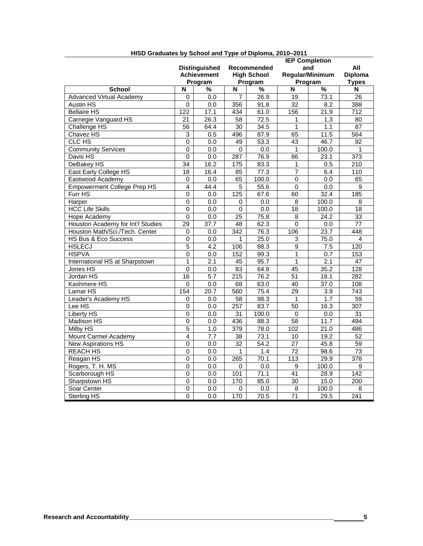|                                    |                  |                                            |                  |                                   | <b>IEP Completion</b><br>All |                          |                  |  |
|------------------------------------|------------------|--------------------------------------------|------------------|-----------------------------------|------------------------------|--------------------------|------------------|--|
|                                    |                  | <b>Distinguished</b><br><b>Achievement</b> |                  | Recommended<br><b>High School</b> |                              | and                      |                  |  |
|                                    |                  |                                            |                  |                                   |                              | Regular/Minimum          |                  |  |
|                                    |                  | Program                                    |                  | Program                           |                              | Program                  |                  |  |
| <b>School</b>                      | N                | $\overline{\frac{9}{6}}$                   | N                | $\overline{\frac{9}{6}}$          | N                            | $\overline{\frac{9}{6}}$ | N                |  |
| <b>Advanced Virtual Academy</b>    | 0                | $\overline{0.0}$                           | 7                | 26.9                              | $\overline{19}$              | 73.1                     | 26               |  |
| Austin HS                          | 0                | 0.0                                        | 356              | 91.8                              | 32                           | 8.2                      | 388              |  |
| <b>Bellaire HS</b>                 | $\overline{122}$ | 17.1                                       | 434              | 61.0                              | 156                          | 21.9                     | 712              |  |
| Carnegie Vanguard HS               | 21               | 26.3                                       | 58               | 72.5                              | 1                            | 1.3                      | 80               |  |
| Challenge HS                       | 56               | 64.4                                       | 30               | 34.5                              | 1                            | 1.1                      | 87               |  |
| Chavez HS                          | 3                | 0.5                                        | 496              | 87.9                              | 65                           | 11.5                     | 564              |  |
| CLC HS                             | 0                | $\overline{0.0}$                           | 49               | 53.3                              | $\overline{43}$              | 46.7                     | 92               |  |
| <b>Community Services</b>          | $\overline{0}$   | $\overline{0.0}$                           | 0                | 0.0                               | 1                            | 100.0                    | 1                |  |
| Davis HS                           | 0                | 0.0                                        | 287              | 76.9                              | 86                           | 23.1                     | $\overline{373}$ |  |
| DeBakey HS                         | 34               | 16.2                                       | 175              | 83.3                              | 1                            | 0.5                      | 210              |  |
| East Early College HS              | $\overline{18}$  | 16.4                                       | 85               | 77.3                              | 7                            | 6.4                      | 110              |  |
| Eastwood Academy                   | 0                | $\overline{0.0}$                           | 65               | 100.0                             | $\overline{0}$               | $\overline{0.0}$         | 65               |  |
| <b>Empowerment College Prep HS</b> | 4                | 44.4                                       | 5                | 55.6                              | $\pmb{0}$                    | 0.0                      | 9                |  |
| Furr HS                            | $\Omega$         | 0.0                                        | 125              | 67.6                              | 60                           | 32.4                     | 185              |  |
| Harper                             | $\overline{0}$   | $\overline{0.0}$                           | 0                | 0.0                               | 8                            | 100.0                    | $\overline{8}$   |  |
| <b>HCC Life Skills</b>             | $\Omega$         | 0.0                                        | 0                | 0.0                               | 18                           | 100.0                    | $\overline{18}$  |  |
| Hope Academy                       | 0                | 0.0                                        | 25               | 75.8                              | 8                            | $\overline{24.2}$        | 33               |  |
| Houston Academy for Int'l Studies  | 29               | 37.7                                       | 48               | 62.3                              | 0                            | 0.0                      | 77               |  |
| Houston Math/Sci./Tech. Center     | 0                | 0.0                                        | 342              | 76.3                              | 106                          | 23.7                     | 448              |  |
| <b>HS Bus &amp; Eco Success</b>    | $\Omega$         | 0.0                                        | 1                | 25.0                              | 3                            | 75.0                     | 4                |  |
| <b>HSLECJ</b>                      | $\overline{5}$   | 4.2                                        | 106              | 88.3                              | $\overline{9}$               | 7.5                      | 120              |  |
| <b>HSPVA</b>                       | 0                | 0.0                                        | 152              | 99.3                              | 1                            | 0.7                      | 153              |  |
| International HS at Sharpstown     | $\overline{1}$   | 2.1                                        | 45               | 95.7                              | $\overline{1}$               | 2.1                      | $\overline{47}$  |  |
| Jones HS                           | $\overline{0}$   | 0.0                                        | $\overline{83}$  | 64.8                              | 45                           | 35.2                     | $\overline{128}$ |  |
| Jordan HS                          | 16               | 5.7                                        | $\overline{215}$ | 76.2                              | $\overline{51}$              | 18.1                     | 282              |  |
| Kashmere HS                        | 0                | 0.0                                        | 68               | 63.0                              | 40                           | 37.0                     | 108              |  |
| Lamar <sub>HS</sub>                | 154              | $\overline{20.7}$                          | 560              | 75.4                              | $\overline{29}$              | $\overline{3.9}$         | $\overline{743}$ |  |
| Leader's Academy HS                | 0                | 0.0                                        | 58               | 98.3                              | 1                            | 1.7                      | $\overline{59}$  |  |
| Lee HS                             | 0                | 0.0                                        | 257              | 83.7                              | 50                           | 16.3                     | 307              |  |
| Liberty HS                         | 0                | 0.0                                        | 31               | 100.0                             | 0                            | 0.0                      | 31               |  |
| <b>Madison HS</b>                  | $\Omega$         | $\overline{0.0}$                           | 436              | 88.3                              | $\overline{58}$              | 11.7                     | 494              |  |
| Milby HS                           | $\overline{5}$   | 1.0                                        | 379              | 78.0                              | 102                          | 21.0                     | 486              |  |
| Mount Carmel Academy               | $\overline{4}$   | 7.7                                        | 38               | 73.1                              | $\overline{10}$              | 19.2                     | $\overline{52}$  |  |
| <b>New Aspirations HS</b>          | $\overline{0}$   | $\overline{0.0}$                           | $\overline{32}$  | $\overline{54.2}$                 | $\overline{27}$              | 45.8                     | $\overline{59}$  |  |
| <b>REACH HS</b>                    | $\mathbf 0$      | 0.0                                        | 1                | 1.4                               | 72                           | 98.6                     | 73               |  |
| Reagan HS                          | $\Omega$         | 0.0                                        | 265              | 70.1                              | $\overline{113}$             | 29.9                     | 378              |  |
| Rogers, T. H. MS                   | 0                | $\overline{0.0}$                           | 0                | 0.0                               | 9                            | 100.0                    | 9                |  |
| Scarborough HS                     | $\overline{0}$   | 0.0                                        | 101              | 71.1                              | 41                           | 28.9                     | 142              |  |
| Sharpstown HS                      | $\overline{0}$   | 0.0                                        | 170              | 85.0                              | $\overline{30}$              | 15.0                     | $\overline{200}$ |  |
| Soar Center                        | 0                | 0.0                                        | 0                | 0.0                               | 8                            | 100.0                    | 8                |  |
| Sterling HS                        | $\overline{0}$   | 0.0                                        | 170              | 70.5                              | $\overline{71}$              | 29.5                     | 241              |  |

# **HISD Graduates by School and Type of Diploma, 2010–2011**